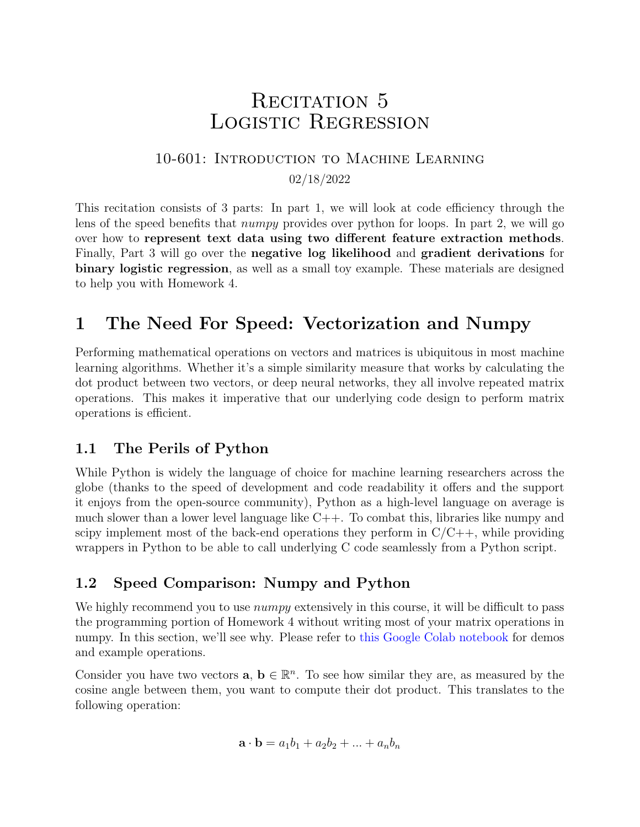# RECITATION 5 Logistic Regression

## 10-601: Introduction to Machine Learning 02/18/2022

<span id="page-0-0"></span>This recitation consists of 3 parts: In part 1, we will look at code efficiency through the lens of the speed benefits that numpy provides over python for loops. In part 2, we will go over how to represent text data using two different feature extraction methods. Finally, Part 3 will go over the negative log likelihood and gradient derivations for binary logistic regression, as well as a small toy example. These materials are designed to help you with Homework 4.

# 1 The Need For Speed: Vectorization and Numpy

Performing mathematical operations on vectors and matrices is ubiquitous in most machine learning algorithms. Whether it's a simple similarity measure that works by calculating the dot product between two vectors, or deep neural networks, they all involve repeated matrix operations. This makes it imperative that our underlying code design to perform matrix operations is efficient.

### 1.1 The Perils of Python

While Python is widely the language of choice for machine learning researchers across the globe (thanks to the speed of development and code readability it offers and the support it enjoys from the open-source community), Python as a high-level language on average is much slower than a lower level language like  $C++$ . To combat this, libraries like numpy and scipy implement most of the back-end operations they perform in  $C/C++$ , while providing wrappers in Python to be able to call underlying C code seamlessly from a Python script.

### 1.2 Speed Comparison: Numpy and Python

We highly recommend you to use *numpy* extensively in this course, it will be difficult to pass the programming portion of Homework 4 without writing most of your matrix operations in numpy. In this section, we'll see why. Please refer to [this Google Colab notebook](https://drive.google.com/file/d/12VPAEytOB2A9xOgvq5UQjE-wDA2ywTtT/view?usp=sharing) for demos and example operations.

Consider you have two vectors  $\mathbf{a}, \mathbf{b} \in \mathbb{R}^n$ . To see how similar they are, as measured by the cosine angle between them, you want to compute their dot product. This translates to the following operation:

$$
\mathbf{a} \cdot \mathbf{b} = a_1 b_1 + a_2 b_2 + \dots + a_n b_n
$$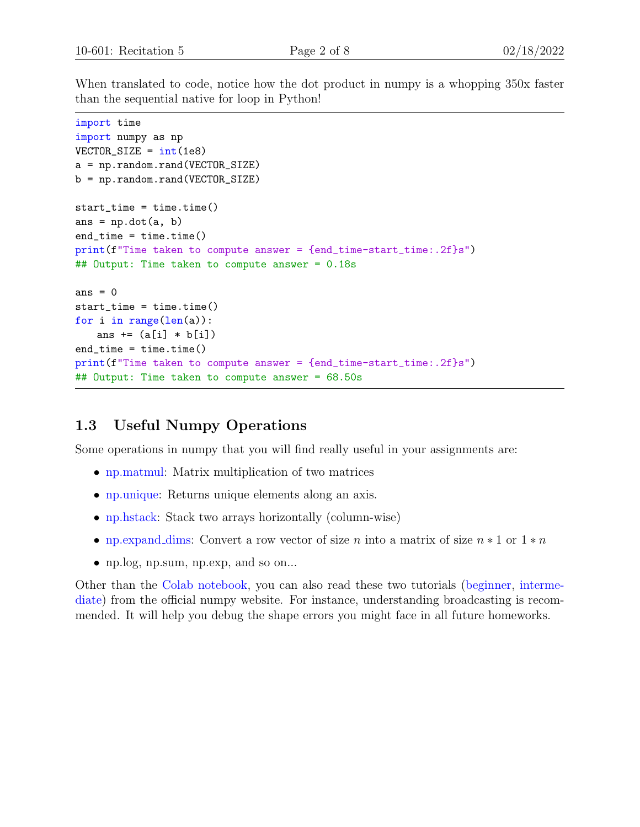When translated to code, notice how the dot product in numpy is a whopping 350x faster than the sequential native for loop in Python!

```
import time
import numpy as np
VECTOR<sub>-SIZE</sub> = int(1e8)a = np.random.rand(VECTOR_SIZE)
b = np.random.rand(VECTOR_SIZE)
start_time = time.time()
ans = np.dot(a, b)end_time = time.time()
print(f''Time taken to compute answer = \{end_time-start_time::.2f\}s")## Output: Time taken to compute answer = 0.18s
ans = 0start_time = time.time()
for i in range(len(a)):
   ans += (a[i] * b[i])end_time = time.time()
print(f"Time taken to compute answer = {end_time-start_time:.2f}s")
## Output: Time taken to compute answer = 68.50s
```
#### 1.3 Useful Numpy Operations

Some operations in numpy that you will find really useful in your assignments are:

- [np.matmul:](https://numpy.org/doc/stable/reference/generated/numpy.matmul.html) Matrix multiplication of two matrices
- [np.unique:](https://numpy.org/doc/stable/reference/generated/numpy.unique.html) Returns unique elements along an axis.
- [np.hstack:](https://numpy.org/doc/stable/reference/generated/numpy.hstack.html) Stack two arrays horizontally (column-wise)
- [np.expand](https://numpy.org/doc/stable/reference/generated/numpy.expand_dims.html)\_dims: Convert a row vector of size n into a matrix of size  $n * 1$  or  $1 * n$
- np.log, np.sum, np.exp, and so on...

Other than the [Colab notebook,](https://drive.google.com/file/d/12VPAEytOB2A9xOgvq5UQjE-wDA2ywTtT/view?usp=sharing) you can also read these two tutorials [\(beginner,](https://numpy.org/doc/stable/user/absolute_beginners.html) [interme](https://numpy.org/doc/stable/user/basics.html)[diate\)](https://numpy.org/doc/stable/user/basics.html) from the official numpy website. For instance, understanding broadcasting is recommended. It will help you debug the shape errors you might face in all future homeworks.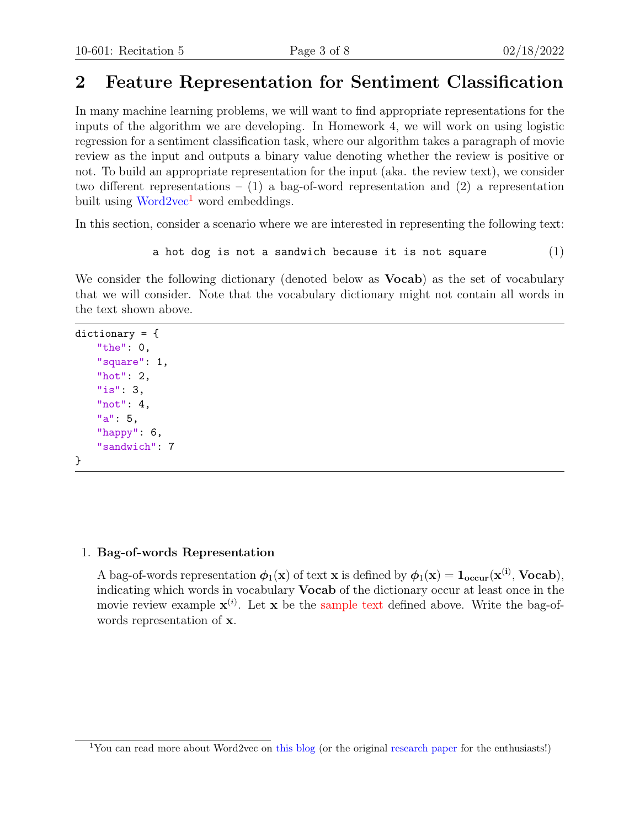## 2 Feature Representation for Sentiment Classification

In many machine learning problems, we will want to find appropriate representations for the inputs of the algorithm we are developing. In Homework 4, we will work on using logistic regression for a sentiment classification task, where our algorithm takes a paragraph of movie review as the input and outputs a binary value denoting whether the review is positive or not. To build an appropriate representation for the input (aka. the review text), we consider two different representations –  $(1)$  a bag-of-word representation and  $(2)$  a representation built using  $Word2vec^1$  $Word2vec^1$  $Word2vec^1$  word embeddings.

In this section, consider a scenario where we are interested in representing the following text:

```
a hot dog is not a sandwich because it is not square (1)
```
We consider the following dictionary (denoted below as **Vocab**) as the set of vocabulary that we will consider. Note that the vocabulary dictionary might not contain all words in the text shown above.

```
dictionary = {
    "the": 0,
    "square": 1,
    "hot": 2,
    "is": 3,
    "not": 4,
    "a": 5,
    "happy": 6,
    "sandwich": 7
}
```
#### 1. Bag-of-words Representation

A bag-of-words representation  $\phi_1(\mathbf{x})$  of text **x** is defined by  $\phi_1(\mathbf{x}) = \mathbf{1}_{\text{occur}}(\mathbf{x}^{(i)}, \text{Vocab})$ , indicating which words in vocabulary Vocab of the dictionary occur at least once in the movie review example  $\mathbf{x}^{(i)}$ . Let  $\mathbf{x}$  be the [sample text](#page-4-0) defined above. Write the bag-ofwords representation of x.

<sup>&</sup>lt;sup>1</sup>You can read more about Word2vec on [this blog](https://towardsdatascience.com/word2vec-research-paper-explained-205cb7eecc30) (or the original [research paper](https://arxiv.org/pdf/1301.3781.pdf) for the enthusiasts!)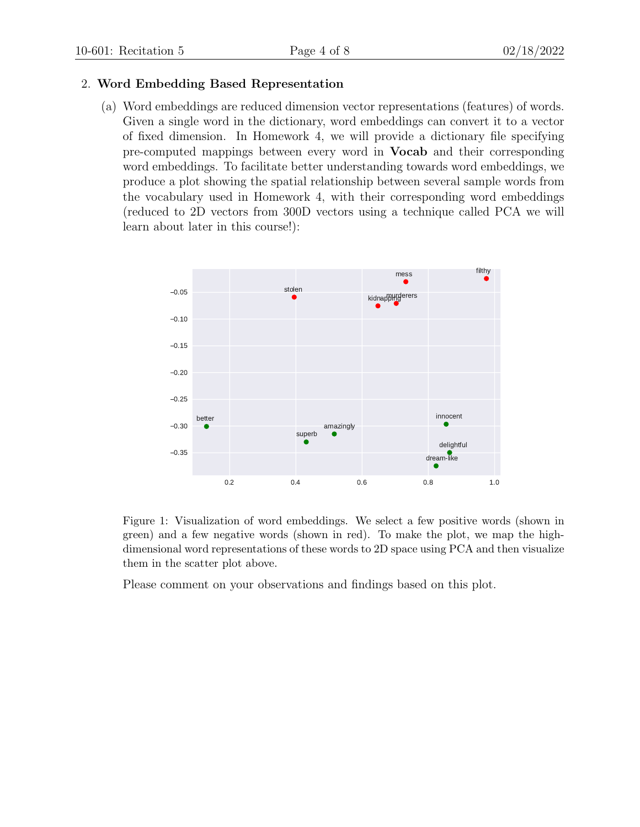#### 2. Word Embedding Based Representation

(a) Word embeddings are reduced dimension vector representations (features) of words. Given a single word in the dictionary, word embeddings can convert it to a vector of fixed dimension. In Homework 4, we will provide a dictionary file specifying pre-computed mappings between every word in Vocab and their corresponding word embeddings. To facilitate better understanding towards word embeddings, we produce a plot showing the spatial relationship between several sample words from the vocabulary used in Homework 4, with their corresponding word embeddings (reduced to 2D vectors from 300D vectors using a technique called PCA we will learn about later in this course!):



Figure 1: Visualization of word embeddings. We select a few positive words (shown in green) and a few negative words (shown in red). To make the plot, we map the highdimensional word representations of these words to 2D space using PCA and then visualize them in the scatter plot above.

Please comment on your observations and findings based on this plot.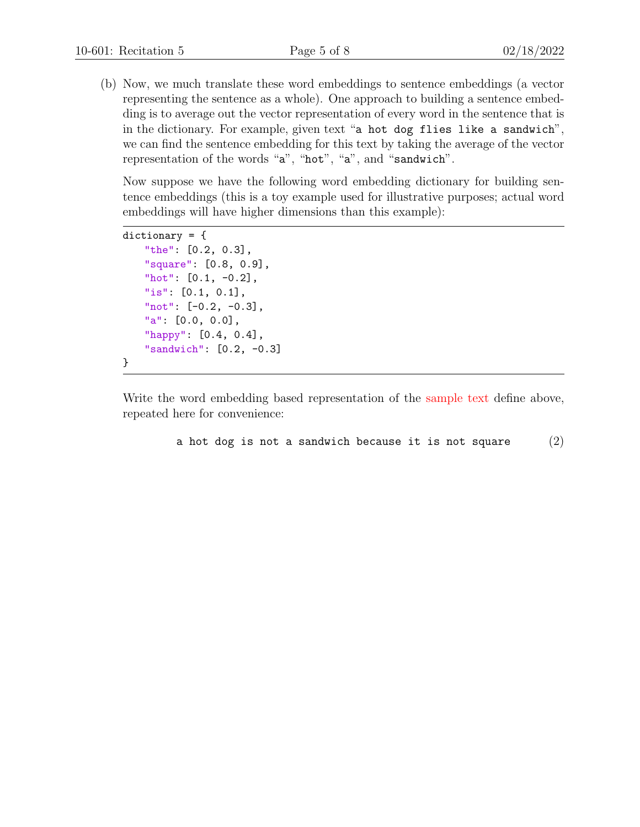(b) Now, we much translate these word embeddings to sentence embeddings (a vector representing the sentence as a whole). One approach to building a sentence embedding is to average out the vector representation of every word in the sentence that is in the dictionary. For example, given text "a hot dog flies like a sandwich", we can find the sentence embedding for this text by taking the average of the vector representation of the words "a", "hot", "a", and "sandwich".

Now suppose we have the following word embedding dictionary for building sentence embeddings (this is a toy example used for illustrative purposes; actual word embeddings will have higher dimensions than this example):

```
dictionary = {
    "the": [0.2, 0.3],
    "square": [0.8, 0.9],
    "hot": [0.1, -0.2],
    "is": [0.1, 0.1],
    "not": [-0.2, -0.3],
    "a": [0.0, 0.0],
    "happy": [0.4, 0.4],
    "sandwich": [0.2, -0.3]
}
```
Write the word embedding based representation of the [sample text](#page-4-0) define above, repeated here for convenience:

```
a hot dog is not a sandwich because it is not square (2)
```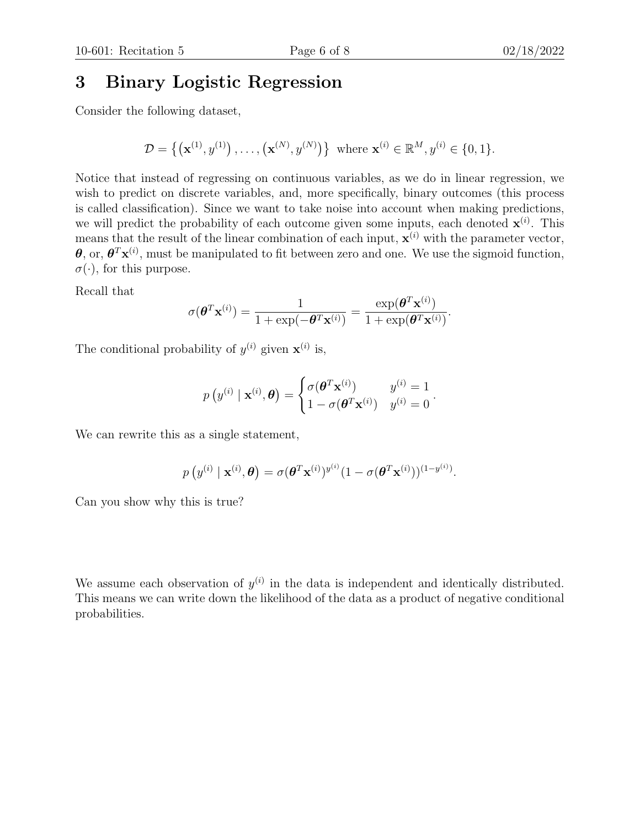## 3 Binary Logistic Regression

Consider the following dataset,

$$
\mathcal{D} = \{ (\mathbf{x}^{(1)}, y^{(1)}), \dots, (\mathbf{x}^{(N)}, y^{(N)}) \} \text{ where } \mathbf{x}^{(i)} \in \mathbb{R}^{M}, y^{(i)} \in \{0, 1\}.
$$

Notice that instead of regressing on continuous variables, as we do in linear regression, we wish to predict on discrete variables, and, more specifically, binary outcomes (this process is called classification). Since we want to take noise into account when making predictions, we will predict the probability of each outcome given some inputs, each denoted  $\mathbf{x}^{(i)}$ . This means that the result of the linear combination of each input,  $\mathbf{x}^{(i)}$  with the parameter vector,  $\theta$ , or,  $\theta^T$ **x**<sup>(i)</sup>, must be manipulated to fit between zero and one. We use the sigmoid function,  $\sigma(\cdot)$ , for this purpose.

Recall that

$$
\sigma(\boldsymbol{\theta}^T \mathbf{x}^{(i)}) = \frac{1}{1 + \exp(-\boldsymbol{\theta}^T \mathbf{x}^{(i)})} = \frac{\exp(\boldsymbol{\theta}^T \mathbf{x}^{(i)})}{1 + \exp(\boldsymbol{\theta}^T \mathbf{x}^{(i)})}.
$$

The conditional probability of  $y^{(i)}$  given  $\mathbf{x}^{(i)}$  is,

$$
p\left(y^{(i)} \mid \mathbf{x}^{(i)}, \boldsymbol{\theta}\right) = \begin{cases} \sigma(\boldsymbol{\theta}^T \mathbf{x}^{(i)}) & y^{(i)} = 1 \\ 1 - \sigma(\boldsymbol{\theta}^T \mathbf{x}^{(i)}) & y^{(i)} = 0 \end{cases}.
$$

We can rewrite this as a single statement,

$$
p\left(y^{(i)} \mid \mathbf{x}^{(i)}, \boldsymbol{\theta}\right) = \sigma(\boldsymbol{\theta}^T \mathbf{x}^{(i)})^{y^{(i)}} (1 - \sigma(\boldsymbol{\theta}^T \mathbf{x}^{(i)}))^{(1 - y^{(i)})}.
$$

Can you show why this is true?

We assume each observation of  $y^{(i)}$  in the data is independent and identically distributed. This means we can write down the likelihood of the data as a product of negative conditional probabilities.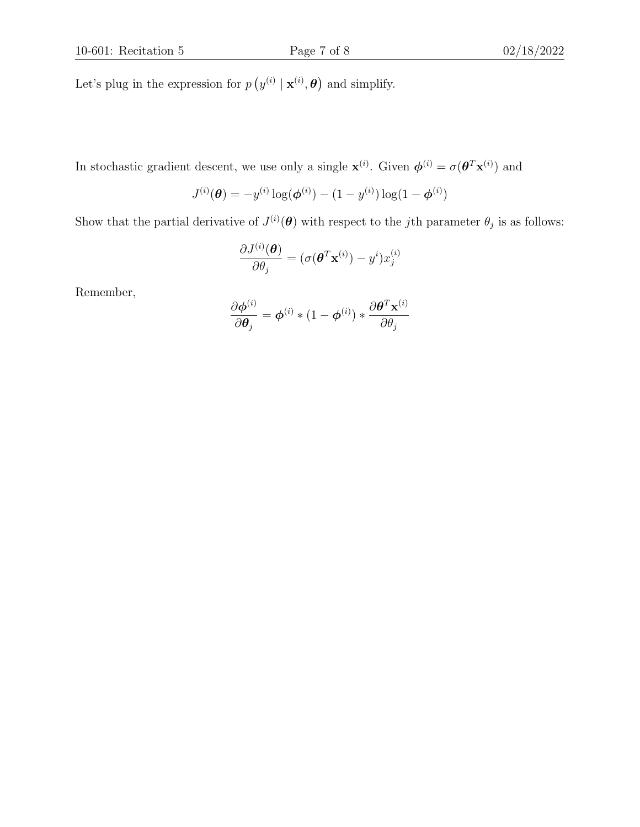Let's plug in the expression for  $p(y^{(i)} | \mathbf{x}^{(i)}, \boldsymbol{\theta})$  and simplify.

In stochastic gradient descent, we use only a single  $\mathbf{x}^{(i)}$ . Given  $\boldsymbol{\phi}^{(i)} = \sigma(\boldsymbol{\theta}^T \mathbf{x}^{(i)})$  and

$$
J^{(i)}(\boldsymbol{\theta}) = -y^{(i)} \log(\boldsymbol{\phi}^{(i)}) - (1 - y^{(i)}) \log(1 - \boldsymbol{\phi}^{(i)})
$$

Show that the partial derivative of  $J^{(i)}(\theta)$  with respect to the jth parameter  $\theta_j$  is as follows:

$$
\frac{\partial J^{(i)}(\boldsymbol{\theta})}{\partial \theta_j} = (\sigma(\boldsymbol{\theta}^T \mathbf{x}^{(i)}) - y^i) x_j^{(i)}
$$

Remember,

$$
\frac{\partial \boldsymbol{\phi}^{(i)}}{\partial \boldsymbol{\theta}_j} = \boldsymbol{\phi}^{(i)} * (1 - \boldsymbol{\phi}^{(i)}) * \frac{\partial \boldsymbol{\theta}^T \mathbf{x}^{(i)}}{\partial \theta_j}
$$